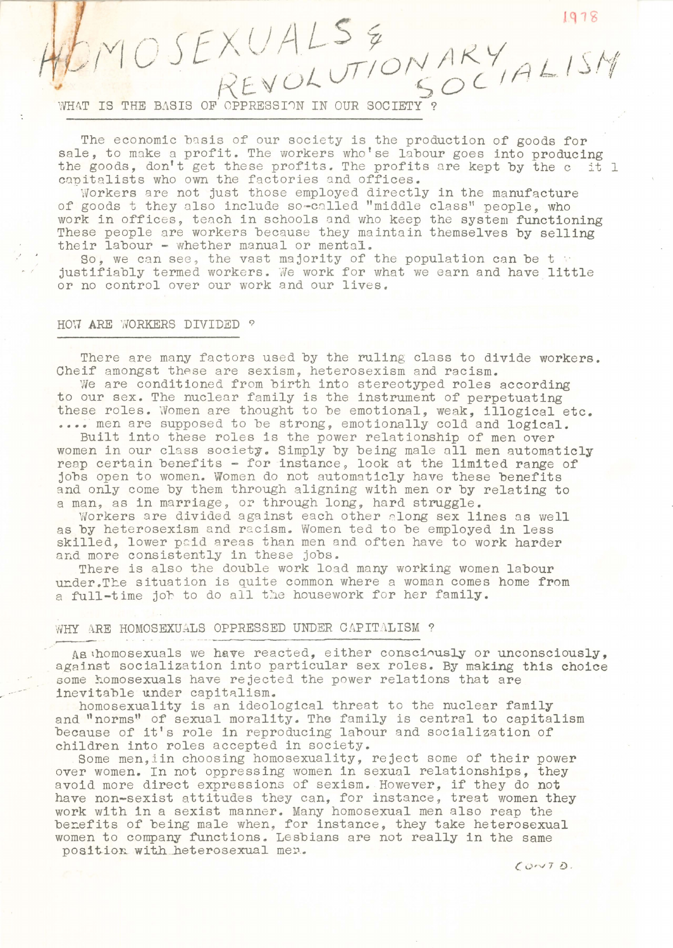$MMSFXUALS&,VAY$ 

WHAT IS THE BASIS OF OPPRESSION IN OUR SOCIETY?

The economic basis of our society is the production of goods for sale, to make a profit. The workers who'se labour goes into producing the goods, don't get these profits. The profits are kept by the c it 1 capitalists who own the factories and offices.

 $D M O J E A V H E T O N A R Y$ 

Workers are not just those employed directly in the manufacture of goods t they also include so-called "middle class" people, who work in offices, teach in schools and who keep the system functioning These people are workers because they maintain themselves by selling their labour - whether manual or mental.

Ir labour = whether mandal or mental.<br>So, we can see, the vast majority of the population can be t justifiably termed workers. We work for what we earn and have little or no control over our work and our lives.

### HOW ARE WORKERS DIVIDED ?

There are many factors used by the ruling class to divide workers. Cheif amongst these are sexism, heterosexism and racism.

We are conditioned from birth into stereotyped roles according to our sex. The nuclear family is the instrument of perpetuating these roles. Women are thought to be emotional, weak, illogical etc. .... men are supposed to be strong, emotionally cold and logical.

Built into these roles is the power relationship of men over women in our class society. Simply by being male all men automaticly reap certain benefits - for instance, look at the limited range of jobs open to women. Women do not automaticly have these benefits and only come by them through aligning with men or by relating to a man, as in marriage, or through long, hard struggle.

Workers are divided against each other along sex lines as well as by heterosexism and racism. Women ted to be employed in less skilled, lower paid areas than men and often have to work harder and more consistently in these jobs.

There is also the double work load many working women labour under.The situation is quite common where a woman comes home from a full-time joh to do all the housework for her family.

## WHY ARE HOMOSEXUALS OPPRESSED UNDER CAPITALISM ?

As thomosexuals we have reacted, either consciously or unconsciously, against socialization into particular sex roles. By making this choice some homosexuals have rejected the power relations that are inevitable under capitalism.

homosexuality is an ideological threat to the nuclear family and "norms" of sexual morality. The family is central to capitalism because of it's role in reproducing labour and socialization of children into roles accepted in society.

Some men,iin choosing homosexuality, reject some of' their power over women. In not oppressing women in sexual relationships, they avoid more direct expressions of sexism. However, if they do not have non-sexist attitudes they can, for instance, treat women they work with in a sexist manner. Many homosexual men also reap the berefits of being male when, for instance, they take heterosexual women to company functions. Lesbians are not really in the same position with heterosexual men.

 $C$  $V$  $T$  $D$ .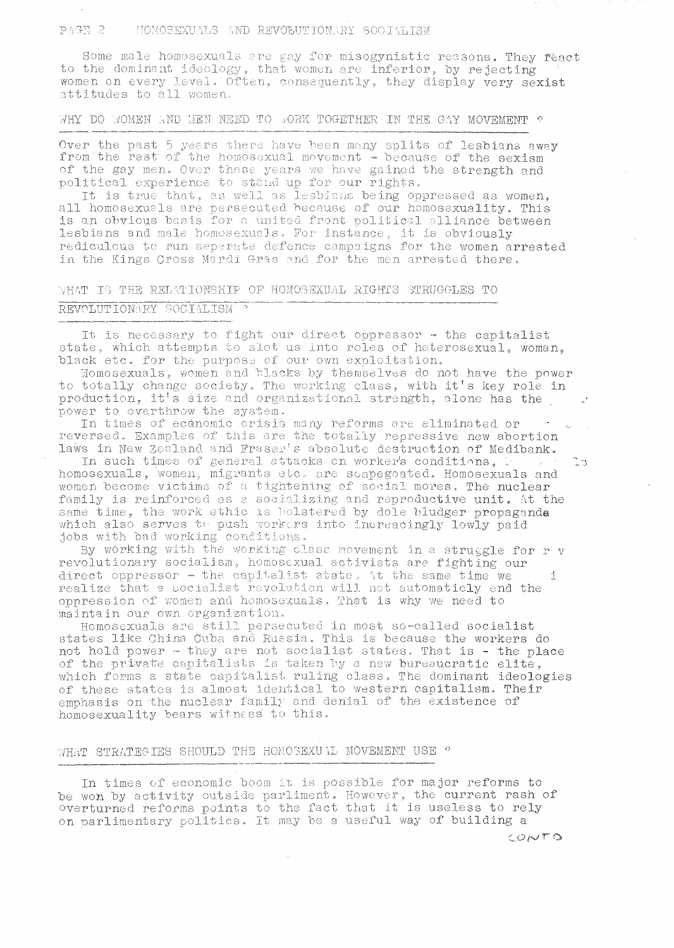### HOMOSEXUALS AND REVOLUTIONARY SOCIALISM PAGE 2

Some male homosexuals are gay for misogynistic reasons. They react to the dominant ideology, that women are inferior, by rejecting women on every level. Often, consequently, they display very sexist attitudes to all women.

WHY DO WOMEN AND MEN NEED TO WORK TOGETHER IN THE GAY MOVEMENT ?

Over the past 5 years there have been many splits of lesbians away from the rest of the homosexual movement - because of the sexism of the gay men. Over these years we have gained the strength and political experience to stand up for our rights.

It is true that, as well as lesbians being oppressed as women. all homosexuals are persecuted because of our homosexuality. This is an obvious basis for a united front political alliance between lesbians and male homosexuals. For instance, it is obviously rediculous to run seperate defence campaigns for the women arrested in the Kings Cross Mardi Gras and for the men arrested there.

# WHAT IS THE RELATIONSHIP OF HOMOSEXUAL RIGHTS STRUGGLES TO REVOLUTIONARY SOCIALISM

It is necessary to fight our direct oppressor - the capitalist state, which attempts to slot us into roles of heterosexual, woman. black etc. for the purpose of our own exploitation.

Homosexuals, women and blacks by themselves do not have the power to totally change society. The working class, with it's key role in production, it's size and organizational strength, alone has the power to overthrow the system.

In times of economic crisis many reforms are eliminated or reversed. Examples of this are the totally repressive new abortion laws in New Zealand and Fraser's absolute destruction of Medibank.

In such times of general attacks on worker's conditions, women become victims of a tightening of social mores. The nuclear<br>family is reinforced as a socializing and reproductive unit. At the same time, the work ethic is both the displaced by dole bludger propaganda<br>which also serves to push workers into increacingly lowly paid jobs with bad working conditions.

By working with the working class movement in a struggle for r v revolutionary socialism, homosexual activists are fighting our direct oppressor - the capitalist state. At the same time we realize that a socialist revolution will not automaticly end the Ť. oppression of women and homosexuals. That is why we need to maintain our own organization.

Homosexuals are still persecuted in most so-called socialist states like China Cuba and Russia. This is because the workers do not hold power - they are not socialist states. That is - the place of the private capitalists is taken by a new bureaucratic elite, which forms a state capitalist ruling class. The dominant ideologies of these states is almost identical to western capitalism. Their emphasis on the nuclear family and denial of the existence of homosexuality bears witness to this.

### WHAT STRATEGIES SHOULD THE HOMOSEXUAL MOVEMENT USE ?

In times of economic boom it is possible for major reforms to be won by activity outside parliment. However, the current rash of overturned reforms points to the fact that it is useless to rely on parlimentary politics. It may be a useful way of building a

CONTO

ŢЗ